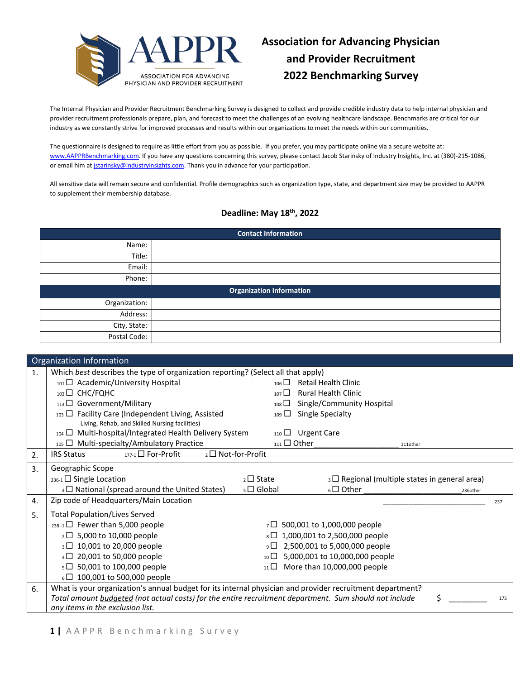

The Internal Physician and Provider Recruitment Benchmarking Survey is designed to collect and provide credible industry data to help internal physician and provider recruitment professionals prepare, plan, and forecast to meet the challenges of an evolving healthcare landscape. Benchmarks are critical for our industry as we constantly strive for improved processes and results within our organizations to meet the needs within our communities.

The questionnaire is designed to require as little effort from you as possible. If you prefer, you may participate online via a secure website at: [www.AAPPRBenchmarking.com.](http://www.aapprbenchmarking.com/) If you have any questions concerning this survey, please contact Jacob Starinsky of Industry Insights, Inc. at (380)-215-1086, or email him at *jstarinsky@industryinsights.com*. Thank you in advance for your participation.

All sensitive data will remain secure and confidential. Profile demographics such as organization type, state, and department size may be provided to AAPPR to supplement their membership database.

## **Deadline: May 18th, 2022**

| <b>Contact Information</b>      |  |  |  |  |
|---------------------------------|--|--|--|--|
| Name:                           |  |  |  |  |
| Title:                          |  |  |  |  |
| Email:                          |  |  |  |  |
| Phone:                          |  |  |  |  |
| <b>Organization Information</b> |  |  |  |  |
| Organization:                   |  |  |  |  |
| Address:                        |  |  |  |  |
| City, State:                    |  |  |  |  |
|                                 |  |  |  |  |

|    | Organization Information                                                                                  |                   |                       |                                                     |          |          |     |
|----|-----------------------------------------------------------------------------------------------------------|-------------------|-----------------------|-----------------------------------------------------|----------|----------|-----|
| 1. | Which best describes the type of organization reporting? (Select all that apply)                          |                   |                       |                                                     |          |          |     |
|    | 101 D Academic/University Hospital                                                                        |                   | $_{106}$              | <b>Retail Health Clinic</b>                         |          |          |     |
|    | 102 □ CHC/FQHC                                                                                            |                   | $107\Box$             | <b>Rural Health Clinic</b>                          |          |          |     |
|    | $_{113}\Box$ Government/Military                                                                          |                   | $_{108}$ $\Box$       | Single/Community Hospital                           |          |          |     |
|    | 103 <sup>D</sup> Facility Care (Independent Living, Assisted                                              |                   | $109$ $\Box$          | <b>Single Specialty</b>                             |          |          |     |
|    | Living, Rehab, and Skilled Nursing facilities)                                                            |                   |                       |                                                     |          |          |     |
|    | 104 I Multi-hospital/Integrated Health Delivery System                                                    |                   |                       | 110 □ Urgent Care                                   |          |          |     |
|    | $_{105}$ $\Box$ Multi-specialty/Ambulatory Practice                                                       |                   | $_{111}$ $\Box$ Other |                                                     | 111other |          |     |
| 2. | $_{177-1}$ For-Profit<br><b>IRS Status</b>                                                                | 2□ Not-for-Profit |                       |                                                     |          |          |     |
| 3. | Geographic Scope                                                                                          |                   |                       |                                                     |          |          |     |
|    | $_{236-1}$ Single Location                                                                                |                   | $_2\square$ State     | $_3\Box$ Regional (multiple states in general area) |          |          |     |
|    | $4\Box$ National (spread around the United States)                                                        |                   | $5 \square$ Global    | $_6\Box$ Other                                      |          | 236other |     |
| 4. | Zip code of Headquarters/Main Location                                                                    |                   |                       |                                                     |          |          | 237 |
| 5. | <b>Total Population/Lives Served</b>                                                                      |                   |                       |                                                     |          |          |     |
|    | $_{238-1}$ Fewer than 5,000 people                                                                        |                   |                       | $7\Box$ 500,001 to 1,000,000 people                 |          |          |     |
|    | 2□ 5,000 to 10,000 people<br>8□ 1,000,001 to 2,500,000 people                                             |                   |                       |                                                     |          |          |     |
|    | 3□ 10,001 to 20,000 people<br>9□ 2,500,001 to 5,000,000 people                                            |                   |                       |                                                     |          |          |     |
|    | 20,001 to 50,000 people<br>5,000,001 to 10,000,000 people<br>$_{10}$ $\Box$<br>$4\Box$                    |                   |                       |                                                     |          |          |     |
|    | s□ 50,001 to 100,000 people                                                                               |                   | $_{11}$ $\Box$        | More than 10,000,000 people                         |          |          |     |
|    | $6\Box$ 100,001 to 500,000 people                                                                         |                   |                       |                                                     |          |          |     |
| 6. | What is your organization's annual budget for its internal physician and provider recruitment department? |                   |                       |                                                     |          |          |     |
|    | Total amount budgeted (not actual costs) for the entire recruitment department. Sum should not include    |                   |                       |                                                     |          | \$       | 175 |
|    | any items in the exclusion list.                                                                          |                   |                       |                                                     |          |          |     |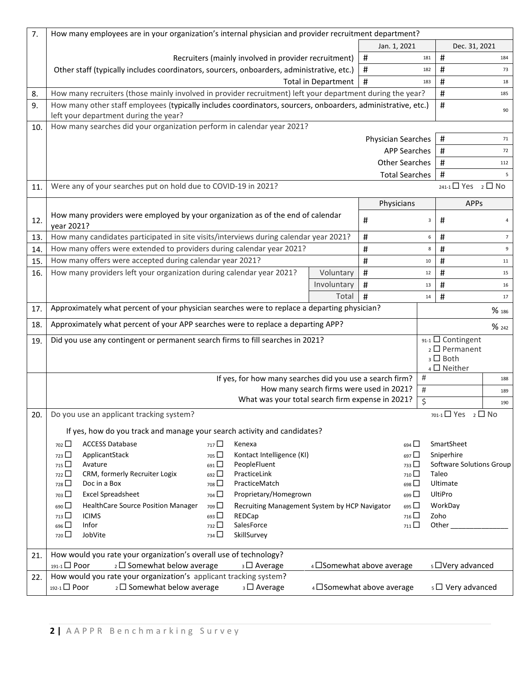| 7.  | How many employees are in your organization's internal physician and provider recruitment department?                                            |                                               |                          |     |                                      |                 |
|-----|--------------------------------------------------------------------------------------------------------------------------------------------------|-----------------------------------------------|--------------------------|-----|--------------------------------------|-----------------|
|     |                                                                                                                                                  |                                               | Jan. 1, 2021             |     | Dec. 31, 2021                        |                 |
|     | Recruiters (mainly involved in provider recruitment)                                                                                             |                                               | $\sharp$                 | 181 | #                                    | 184             |
|     | Other staff (typically includes coordinators, sourcers, onboarders, administrative, etc.)                                                        |                                               | #                        | 182 | #                                    | 73              |
|     |                                                                                                                                                  | <b>Total in Department</b>                    | $\#$                     | 183 | $\sharp$                             | 18              |
| 8.  | How many recruiters (those mainly involved in provider recruitment) left your department during the year?                                        |                                               |                          |     | #                                    | 185             |
| 9.  | How many other staff employees (typically includes coordinators, sourcers, onboarders, administrative, etc.)                                     |                                               |                          |     | $\#$                                 |                 |
|     | left your department during the year?                                                                                                            |                                               |                          |     |                                      | 90              |
| 10. | How many searches did your organization perform in calendar year 2021?                                                                           |                                               |                          |     |                                      |                 |
|     |                                                                                                                                                  |                                               | Physician Searches       |     | #                                    | 71              |
|     |                                                                                                                                                  |                                               | <b>APP Searches</b>      |     | #                                    | 72              |
|     |                                                                                                                                                  |                                               | <b>Other Searches</b>    |     | $\#$                                 | 112             |
|     |                                                                                                                                                  |                                               | <b>Total Searches</b>    |     | $\sharp$                             | 5               |
| 11. | Were any of your searches put on hold due to COVID-19 in 2021?                                                                                   |                                               |                          |     | $_{241-1}$ $\Box$ Yes $_2$ $\Box$ No |                 |
|     |                                                                                                                                                  |                                               | Physicians               |     | <b>APPs</b>                          |                 |
| 12. | How many providers were employed by your organization as of the end of calendar<br>year 2021?                                                    |                                               | $\sharp$                 | 3   | $\#$                                 | 4               |
| 13. | How many candidates participated in site visits/interviews during calendar year 2021?                                                            |                                               | $\pmb{\#}$               | 6   | $\#$                                 | $7\overline{ }$ |
| 14. | How many offers were extended to providers during calendar year 2021?                                                                            |                                               | #                        | 8   | #                                    | 9               |
| 15. | How many offers were accepted during calendar year 2021?                                                                                         |                                               | #                        | 10  | $\#$                                 | 11              |
| 16. | How many providers left your organization during calendar year 2021?                                                                             | Voluntary                                     | #                        | 12  | #                                    | 15              |
|     |                                                                                                                                                  | Involuntary                                   | $\#$                     | 13  | $\sharp$                             | 16              |
|     |                                                                                                                                                  | Total                                         | $\#$                     | 14  | $\sharp$                             | 17              |
| 17. | Approximately what percent of your physician searches were to replace a departing physician?                                                     |                                               |                          |     |                                      | % 186           |
| 18. | Approximately what percent of your APP searches were to replace a departing APP?                                                                 |                                               |                          |     |                                      | % 242           |
| 19. | 91-1 □ Contingent<br>Did you use any contingent or permanent search firms to fill searches in 2021?                                              |                                               |                          |     |                                      |                 |
|     |                                                                                                                                                  |                                               |                          |     | $2 \square$ Permanent                |                 |
|     |                                                                                                                                                  |                                               |                          |     | $_3$ $\square$ Both<br>4 □ Neither   |                 |
|     | If yes, for how many searches did you use a search firm?<br>#                                                                                    |                                               |                          |     |                                      | 188             |
|     | How many search firms were used in 2021?<br>$\#$                                                                                                 |                                               |                          |     |                                      | 189             |
|     | What was your total search firm expense in 2021?<br>\$                                                                                           |                                               |                          |     |                                      | 190             |
| 20. | Do you use an applicant tracking system?                                                                                                         |                                               |                          |     | $_{701-1} \Box$ Yes $_2 \Box$ No     |                 |
|     | If yes, how do you track and manage your search activity and candidates?                                                                         |                                               |                          |     |                                      |                 |
|     | <b>ACCESS Database</b><br>717 <sup>1</sup><br>$702$ $\Box$<br>Kenexa                                                                             |                                               | $694$ $\Box$             |     | SmartSheet                           |                 |
|     | 723<br>ApplicantStack<br>Kontact Intelligence (KI)<br>$705$ $\Box$                                                                               |                                               | $697$ $\Box$             |     | Sniperhire                           |                 |
|     | Avature<br>PeopleFluent<br>$715$ $\Box$<br>$691$ $\Box$                                                                                          |                                               | $733$ $\Box$             |     | Software Solutions Group             |                 |
|     | CRM, formerly Recruiter Logix<br>PracticeLink<br>722<br>692 $\square$                                                                            |                                               | $710$ $\Box$             |     | Taleo                                |                 |
|     | 728<br>$708$ $\Box$<br>PracticeMatch<br>Doc in a Box                                                                                             |                                               | 698                      |     | Ultimate                             |                 |
|     | $703$ $\Box$<br><b>Excel Spreadsheet</b><br>$704$ $\Box$<br>Proprietary/Homegrown                                                                |                                               | 699 <sup>1</sup>         |     | UltiPro                              |                 |
|     | $690$ $\Box$<br>HealthCare Source Position Manager<br>$709$ $\Box$                                                                               | Recruiting Management System by HCP Navigator | $695$ $\Box$             |     | WorkDay                              |                 |
|     | 713<br><b>ICIMS</b><br>$693$ $\Box$<br>REDCap<br>Infor                                                                                           |                                               | $716$ $\Box$             |     | Zoho                                 |                 |
|     | $696$ $\Box$<br>732<br>SalesForce<br>$720$ $\Box$<br>JobVite<br>734<br>SkillSurvey                                                               |                                               | $711$ $\Box$             |     | Other                                |                 |
|     |                                                                                                                                                  |                                               |                          |     |                                      |                 |
| 21. | How would you rate your organization's overall use of technology?                                                                                |                                               |                          |     |                                      |                 |
|     | $191-1$ Poor<br>$_2\square$ Somewhat below average<br>$_3$ $\square$ Average                                                                     |                                               | 4 Somewhat above average |     | <sub>5</sub> □ Very advanced         |                 |
| 22. | How would you rate your organization's applicant tracking system?<br>192-1□ Poor<br>$2 \square$ Somewhat below average<br>$_3$ $\square$ Average |                                               | 4 Somewhat above average |     | $5 \square$ Very advanced            |                 |
|     |                                                                                                                                                  |                                               |                          |     |                                      |                 |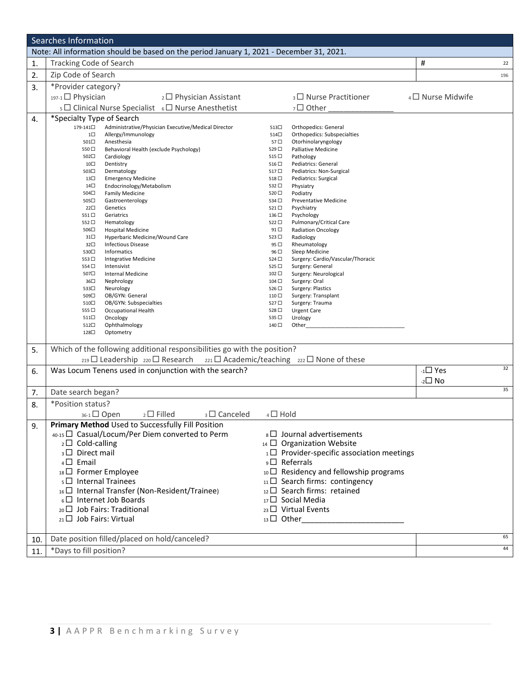| Searches Information |                                                                                                     |                     |                                                     |                           |     |  |  |
|----------------------|-----------------------------------------------------------------------------------------------------|---------------------|-----------------------------------------------------|---------------------------|-----|--|--|
|                      | Note: All information should be based on the period January 1, 2021 - December 31, 2021.            |                     |                                                     |                           |     |  |  |
| 1.                   | <b>Tracking Code of Search</b>                                                                      |                     |                                                     | #                         | 22  |  |  |
| 2.                   | Zip Code of Search                                                                                  |                     |                                                     |                           | 196 |  |  |
| 3.                   | *Provider category?                                                                                 |                     |                                                     |                           |     |  |  |
|                      | 197-1□ Physician<br>2 □ Physician Assistant                                                         |                     | 3□ Nurse Practitioner                               | $_4$ $\Box$ Nurse Midwife |     |  |  |
|                      | 5 □ Clinical Nurse Specialist 6 □ Nurse Anesthetist                                                 |                     | 7□ Other                                            |                           |     |  |  |
| 4.                   | *Specialty Type of Search                                                                           |                     |                                                     |                           |     |  |  |
|                      | 179-141□<br>Administrative/Physician Executive/Medical Director<br>$1\square$<br>Allergy/Immunology | 513□<br>514□        | Orthopedics: General<br>Orthopedics: Subspecialties |                           |     |  |  |
|                      | 501□<br>Anesthesia                                                                                  | 57□                 | Otorhinolaryngology                                 |                           |     |  |  |
|                      | Behavioral Health (exclude Psychology)<br>550□                                                      | 529□                | <b>Palliative Medicine</b>                          |                           |     |  |  |
|                      | 502□<br>Cardiology                                                                                  | 515 □               | Pathology                                           |                           |     |  |  |
|                      | Dentistry<br>10□<br>503□<br>Dermatology                                                             | $516\Box$<br>517□   | Pediatrics: General<br>Pediatrics: Non-Surgical     |                           |     |  |  |
|                      | 13□<br><b>Emergency Medicine</b>                                                                    | 518□                | Pediatrics: Surgical                                |                           |     |  |  |
|                      | 14□<br>Endocrinology/Metabolism                                                                     | 532 □               | Physiatry                                           |                           |     |  |  |
|                      | 504□<br><b>Family Medicine</b>                                                                      | 520 □               | Podiatry                                            |                           |     |  |  |
|                      | 505□<br>Gastroenterology                                                                            | 534 □               | <b>Preventative Medicine</b>                        |                           |     |  |  |
|                      | $22\square$<br>Genetics                                                                             | 521□                | Psychiatry                                          |                           |     |  |  |
|                      | 551□<br>Geriatrics                                                                                  | 136 □               | Psychology                                          |                           |     |  |  |
|                      | Hematology<br>552□                                                                                  | 522□                | Pulmonary/Critical Care                             |                           |     |  |  |
|                      | 506□<br><b>Hospital Medicine</b><br>$31\square$<br>Hyperbaric Medicine/Wound Care                   | $91$ $\Box$<br>523□ | <b>Radiation Oncology</b><br>Radiology              |                           |     |  |  |
|                      | $32\square$<br><b>Infectious Disease</b>                                                            | 95 <sup>0</sup>     | Rheumatology                                        |                           |     |  |  |
|                      | Informatics<br>530□                                                                                 | 96□                 | Sleep Medicine                                      |                           |     |  |  |
|                      | <b>Integrative Medicine</b><br>553□                                                                 | 524 □               | Surgery: Cardio/Vascular/Thoracic                   |                           |     |  |  |
|                      | 554 □<br>Intensivist                                                                                | 525□                | Surgery: General                                    |                           |     |  |  |
|                      | 507□<br>Internal Medicine                                                                           | $102 \square$       | Surgery: Neurological                               |                           |     |  |  |
|                      | 36□<br>Nephrology                                                                                   | 104 □               | Surgery: Oral                                       |                           |     |  |  |
|                      | 533□<br>Neurology<br>509□<br>OB/GYN: General                                                        | 526□<br>110 □       | Surgery: Plastics<br>Surgery: Transplant            |                           |     |  |  |
|                      | 510□<br>OB/GYN: Subspecialties                                                                      | 527□                | Surgery: Trauma                                     |                           |     |  |  |
|                      | 555□<br>Occupational Health                                                                         | 528□                | <b>Urgent Care</b>                                  |                           |     |  |  |
|                      | 511□<br>Oncology                                                                                    | 535□                | Urology                                             |                           |     |  |  |
|                      | Ophthalmology<br>512□                                                                               | 140 □               | Other                                               |                           |     |  |  |
|                      | 128□<br>Optometry                                                                                   |                     |                                                     |                           |     |  |  |
| 5.                   | Which of the following additional responsibilities go with the position?                            |                     |                                                     |                           |     |  |  |
|                      | $_{219}$ Leadership $_{220}$ Research                                                               |                     | $_{221}$ Academic/teaching $_{222}$ None of these   |                           |     |  |  |
| 6.                   | Was Locum Tenens used in conjunction with the search?                                               |                     |                                                     | $-1$ Yes                  | 32  |  |  |
|                      |                                                                                                     |                     |                                                     | $-2\square$ No            |     |  |  |
| 7.                   | Date search began?                                                                                  |                     |                                                     |                           | 35  |  |  |
| 8.                   | *Position status?                                                                                   |                     |                                                     |                           |     |  |  |
|                      | $_{36-1}$ $\Box$ Open<br>$_2\square$ Filled<br>$_3\Box$ Canceled                                    | $4\Box$ Hold        |                                                     |                           |     |  |  |
|                      | Primary Method Used to Successfully Fill Position                                                   |                     |                                                     |                           |     |  |  |
| 9.                   |                                                                                                     |                     |                                                     |                           |     |  |  |
|                      | 40-15 □ Casual/Locum/Per Diem converted to Perm                                                     |                     | $B \Box$ Journal advertisements                     |                           |     |  |  |
|                      | $_2\square$ Cold-calling                                                                            |                     | $_{14}$ $\Box$ Organization Website                 |                           |     |  |  |
|                      | 3 <sup>D</sup> Direct mail                                                                          |                     | $1 \square$ Provider-specific association meetings  |                           |     |  |  |
|                      | $4\Box$ Email                                                                                       |                     | $\overline{\phantom{a}}$ Referrals                  |                           |     |  |  |
|                      | 18 D Former Employee                                                                                |                     | $_{10}$ $\Box$ Residency and fellowship programs    |                           |     |  |  |
|                      | $5\Box$ Internal Trainees                                                                           |                     | $_{11}\square$ Search firms: contingency            |                           |     |  |  |
|                      | 16□ Internal Transfer (Non-Resident/Trainee)                                                        |                     | 12 Search firms: retained                           |                           |     |  |  |
|                      | 6□ Internet Job Boards                                                                              |                     | $_{17}\square$ Social Media                         |                           |     |  |  |
|                      |                                                                                                     |                     |                                                     |                           |     |  |  |
|                      | $_{20}$ Job Fairs: Traditional                                                                      |                     | $_{23}$ $\Box$ Virtual Events                       |                           |     |  |  |
|                      | $_{21}$ Job Fairs: Virtual                                                                          |                     |                                                     |                           |     |  |  |
|                      |                                                                                                     |                     |                                                     |                           | 65  |  |  |
| 10.                  | Date position filled/placed on hold/canceled?                                                       |                     |                                                     |                           |     |  |  |
| 11.                  | *Days to fill position?                                                                             |                     |                                                     |                           | 44  |  |  |